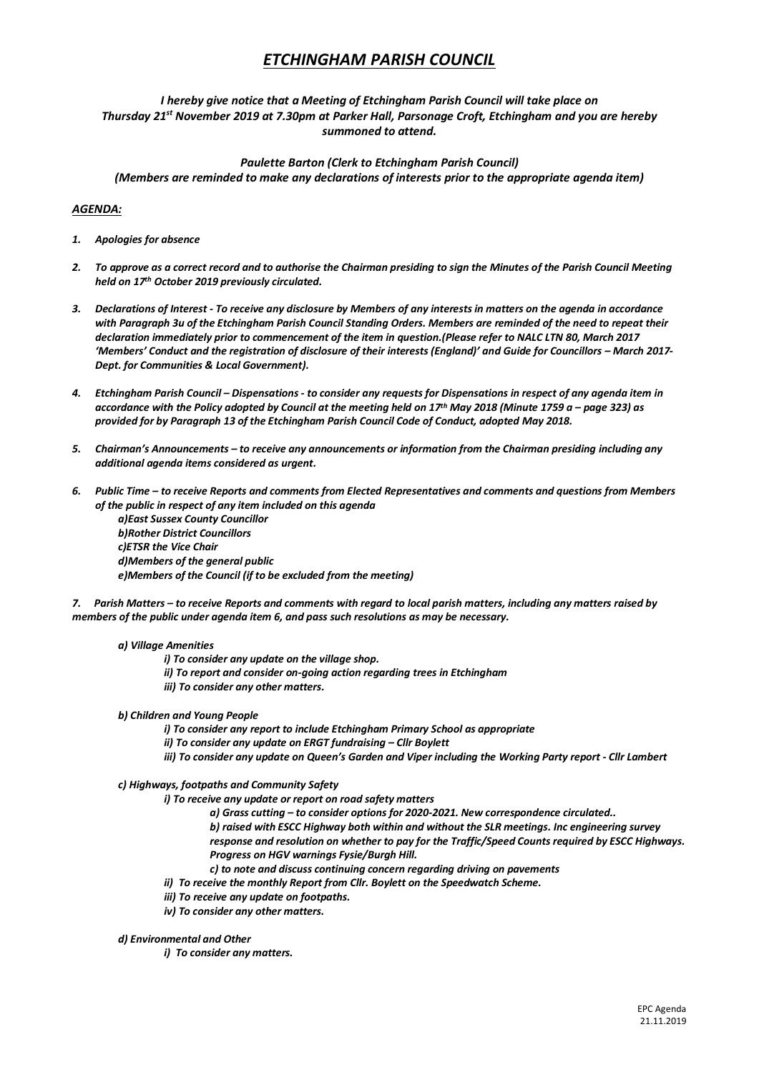# *ETCHINGHAM PARISH COUNCIL*

# *I hereby give notice that a Meeting of Etchingham Parish Council will take place on Thursday 21st November 2019 at 7.30pm at Parker Hall, Parsonage Croft, Etchingham and you are hereby summoned to attend.*

# *Paulette Barton (Clerk to Etchingham Parish Council) (Members are reminded to make any declarations of interests prior to the appropriate agenda item)*

# *AGENDA:*

- *1. Apologies for absence*
- *2. To approve as a correct record and to authorise the Chairman presiding to sign the Minutes of the Parish Council Meeting held on 17th October 2019 previously circulated.*
- *3. Declarations of Interest - To receive any disclosure by Members of any interests in matters on the agenda in accordance with Paragraph 3u of the Etchingham Parish Council Standing Orders. Members are reminded of the need to repeat their declaration immediately prior to commencement of the item in question.(Please refer to NALC LTN 80, March 2017 'Members' Conduct and the registration of disclosure of their interests (England)' and Guide for Councillors – March 2017- Dept. for Communities & Local Government).*
- *4. Etchingham Parish Council – Dispensations - to consider any requests for Dispensations in respect of any agenda item in accordance with the Policy adopted by Council at the meeting held on 17 th May 2018 (Minute 1759 a – page 323) as provided for by Paragraph 13 of the Etchingham Parish Council Code of Conduct, adopted May 2018.*
- *5. Chairman's Announcements – to receive any announcements or information from the Chairman presiding including any additional agenda items considered as urgent.*
- *6. Public Time – to receive Reports and comments from Elected Representatives and comments and questions from Members of the public in respect of any item included on this agenda* 
	- *a)East Sussex County Councillor b)Rother District Councillors c)ETSR the Vice Chair d)Members of the general public e)Members of the Council (if to be excluded from the meeting)*

*7. Parish Matters – to receive Reports and comments with regard to local parish matters, including any matters raised by members of the public under agenda item 6, and pass such resolutions as may be necessary.*

#### *a) Village Amenities*

- *i) To consider any update on the village shop.*
- *ii) To report and consider on-going action regarding trees in Etchingham*
- *iii) To consider any other matters.*

## *b) Children and Young People*

- *i) To consider any report to include Etchingham Primary School as appropriate*
- *ii) To consider any update on ERGT fundraising – Cllr Boylett*
- *iii) To consider any update on Queen's Garden and Viper including the Working Party report - Cllr Lambert*

## *c) Highways, footpaths and Community Safety*

*i) To receive any update or report on road safety matters* 

- *a) Grass cutting – to consider options for 2020-2021. New correspondence circulated..*
- *b) raised with ESCC Highway both within and without the SLR meetings. Inc engineering survey response and resolution on whether to pay for the Traffic/Speed Counts required by ESCC Highways. Progress on HGV warnings Fysie/Burgh Hill.*
- *c) to note and discuss continuing concern regarding driving on pavements*
- *ii) To receive the monthly Report from Cllr. Boylett on the Speedwatch Scheme.*
- *iii) To receive any update on footpaths.*
- *iv) To consider any other matters.*

## *d) Environmental and Other*

*i) To consider any matters.*